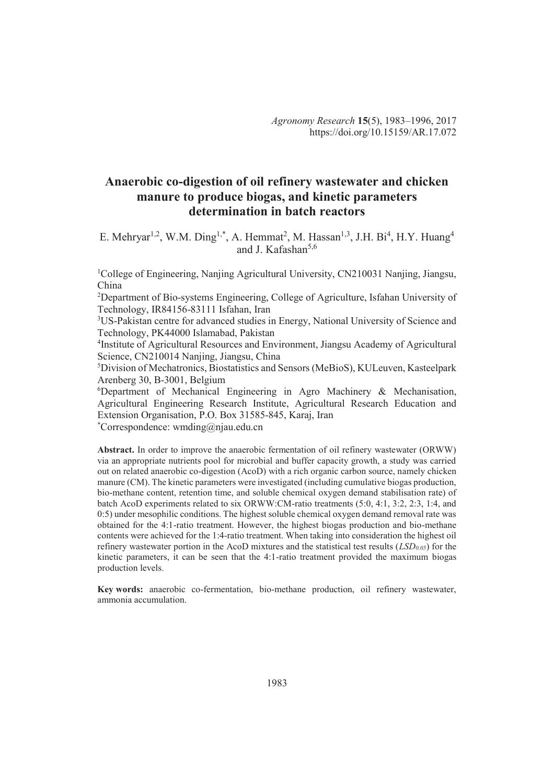# **Anaerobic co-digestion of oil refinery wastewater and chicken manure to produce biogas, and kinetic parameters determination in batch reactors**

E. Mehryar<sup>1,2</sup>, W.M. Ding<sup>1,\*</sup>, A. Hemmat<sup>2</sup>, M. Hassan<sup>1,3</sup>, J.H. Bi<sup>4</sup>, H.Y. Huang<sup>4</sup> and J. Kafashan $5,6$ 

<sup>1</sup>College of Engineering, Nanjing Agricultural University, CN210031 Nanjing, Jiangsu, China

<sup>2</sup>Department of Bio-systems Engineering, College of Agriculture, Isfahan University of Technology, IR84156-83111 Isfahan, Iran

<sup>3</sup>US-Pakistan centre for advanced studies in Energy, National University of Science and Technology, PK44000 Islamabad, Pakistan

4 Institute of Agricultural Resources and Environment, Jiangsu Academy of Agricultural Science, CN210014 Nanjing, Jiangsu, China

<sup>5</sup>Division of Mechatronics, Biostatistics and Sensors (MeBioS), KULeuven, Kasteelpark Arenberg 30, B-3001, Belgium

 $6$ Department of Mechanical Engineering in Agro Machinery & Mechanisation, Agricultural Engineering Research Institute, Agricultural Research Education and Extension Organisation, P.O. Box 31585-845, Karaj, Iran

\*Correspondence: wmding@njau.edu.cn

**Abstract.** In order to improve the anaerobic fermentation of oil refinery wastewater (ORWW) via an appropriate nutrients pool for microbial and buffer capacity growth, a study was carried out on related anaerobic co-digestion (AcoD) with a rich organic carbon source, namely chicken manure (CM). The kinetic parameters were investigated (including cumulative biogas production, bio-methane content, retention time, and soluble chemical oxygen demand stabilisation rate) of batch AcoD experiments related to six ORWW:CM-ratio treatments (5:0, 4:1, 3:2, 2:3, 1:4, and 0:5) under mesophilic conditions. The highest soluble chemical oxygen demand removal rate was obtained for the 4:1-ratio treatment. However, the highest biogas production and bio-methane contents were achieved for the 1:4-ratio treatment. When taking into consideration the highest oil refinery wastewater portion in the AcoD mixtures and the statistical test results (*LSD0.05*) for the kinetic parameters, it can be seen that the 4:1-ratio treatment provided the maximum biogas production levels.

**Key words:** anaerobic co-fermentation, bio-methane production, oil refinery wastewater, ammonia accumulation.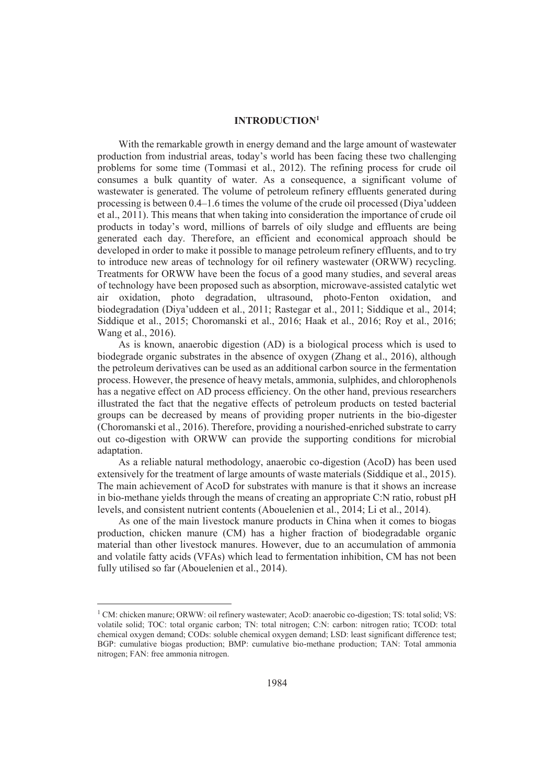### **INTRODUCTION<sup>1</sup>**

With the remarkable growth in energy demand and the large amount of wastewater production from industrial areas, today's world has been facing these two challenging problems for some time (Tommasi et al., 2012). The refining process for crude oil consumes a bulk quantity of water. As a consequence, a significant volume of wastewater is generated. The volume of petroleum refinery effluents generated during processing is between 0.4–1.6 times the volume of the crude oil processed (Diya'uddeen et al., 2011). This means that when taking into consideration the importance of crude oil products in today's word, millions of barrels of oily sludge and effluents are being generated each day. Therefore, an efficient and economical approach should be developed in order to make it possible to manage petroleum refinery effluents, and to try to introduce new areas of technology for oil refinery wastewater (ORWW) recycling. Treatments for ORWW have been the focus of a good many studies, and several areas of technology have been proposed such as absorption, microwave-assisted catalytic wet air oxidation, photo degradation, ultrasound, photo-Fenton oxidation, and biodegradation (Diya'uddeen et al., 2011; Rastegar et al., 2011; Siddique et al., 2014; Siddique et al., 2015; Choromanski et al., 2016; Haak et al., 2016; Roy et al., 2016; Wang et al., 2016).

As is known, anaerobic digestion (AD) is a biological process which is used to biodegrade organic substrates in the absence of oxygen (Zhang et al., 2016), although the petroleum derivatives can be used as an additional carbon source in the fermentation process. However, the presence of heavy metals, ammonia, sulphides, and chlorophenols has a negative effect on AD process efficiency. On the other hand, previous researchers illustrated the fact that the negative effects of petroleum products on tested bacterial groups can be decreased by means of providing proper nutrients in the bio-digester (Choromanski et al., 2016). Therefore, providing a nourished-enriched substrate to carry out co-digestion with ORWW can provide the supporting conditions for microbial adaptation.

As a reliable natural methodology, anaerobic co-digestion (AcoD) has been used extensively for the treatment of large amounts of waste materials (Siddique et al., 2015). The main achievement of AcoD for substrates with manure is that it shows an increase in bio-methane yields through the means of creating an appropriate C:N ratio, robust pH levels, and consistent nutrient contents (Abouelenien et al., 2014; Li et al., 2014).

As one of the main livestock manure products in China when it comes to biogas production, chicken manure (CM) has a higher fraction of biodegradable organic material than other livestock manures. However, due to an accumulation of ammonia and volatile fatty acids (VFAs) which lead to fermentation inhibition, CM has not been fully utilised so far (Abouelenien et al., 2014).

 $\overline{a}$ 

<sup>&</sup>lt;sup>1</sup> CM: chicken manure; ORWW: oil refinery wastewater; AcoD: anaerobic co-digestion; TS: total solid; VS: volatile solid; TOC: total organic carbon; TN: total nitrogen; C:N: carbon: nitrogen ratio; TCOD: total chemical oxygen demand; CODs: soluble chemical oxygen demand; LSD: least significant difference test; BGP: cumulative biogas production; BMP: cumulative bio-methane production; TAN: Total ammonia nitrogen; FAN: free ammonia nitrogen.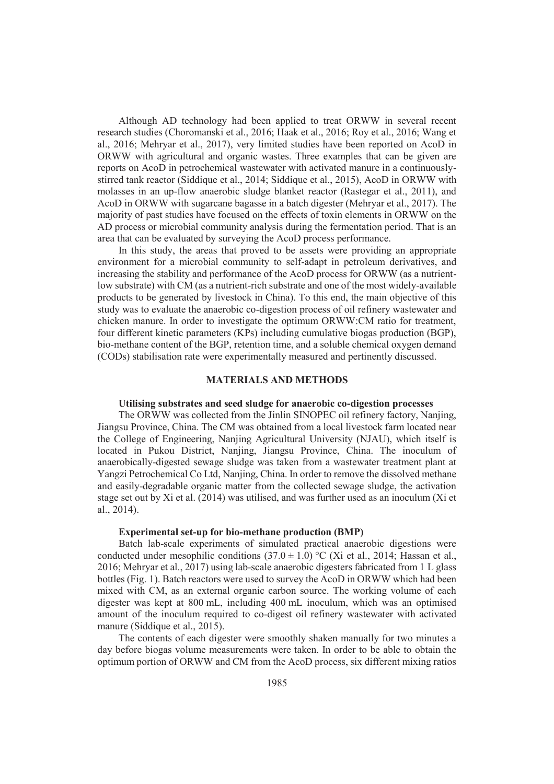Although AD technology had been applied to treat ORWW in several recent research studies (Choromanski et al., 2016; Haak et al., 2016; Roy et al., 2016; Wang et al., 2016; Mehryar et al., 2017), very limited studies have been reported on AcoD in ORWW with agricultural and organic wastes. Three examples that can be given are reports on AcoD in petrochemical wastewater with activated manure in a continuouslystirred tank reactor (Siddique et al., 2014; Siddique et al., 2015), AcoD in ORWW with molasses in an up-flow anaerobic sludge blanket reactor (Rastegar et al., 2011), and AcoD in ORWW with sugarcane bagasse in a batch digester (Mehryar et al., 2017). The majority of past studies have focused on the effects of toxin elements in ORWW on the AD process or microbial community analysis during the fermentation period. That is an area that can be evaluated by surveying the AcoD process performance.

In this study, the areas that proved to be assets were providing an appropriate environment for a microbial community to self-adapt in petroleum derivatives, and increasing the stability and performance of the AcoD process for ORWW (as a nutrientlow substrate) with CM (as a nutrient-rich substrate and one of the most widely-available products to be generated by livestock in China). To this end, the main objective of this study was to evaluate the anaerobic co-digestion process of oil refinery wastewater and chicken manure. In order to investigate the optimum ORWW:CM ratio for treatment, four different kinetic parameters (KPs) including cumulative biogas production (BGP), bio-methane content of the BGP, retention time, and a soluble chemical oxygen demand (CODs) stabilisation rate were experimentally measured and pertinently discussed.

### **MATERIALS AND METHODS**

# **Utilising substrates and seed sludge for anaerobic co-digestion processes**

The ORWW was collected from the Jinlin SINOPEC oil refinery factory, Nanjing, Jiangsu Province, China. The CM was obtained from a local livestock farm located near the College of Engineering, Nanjing Agricultural University (NJAU), which itself is located in Pukou District, Nanjing, Jiangsu Province, China. The inoculum of anaerobically-digested sewage sludge was taken from a wastewater treatment plant at Yangzi Petrochemical Co Ltd, Nanjing, China. In order to remove the dissolved methane and easily-degradable organic matter from the collected sewage sludge, the activation stage set out by Xi et al. (2014) was utilised, and was further used as an inoculum (Xi et al., 2014).

#### **Experimental set-up for bio-methane production (BMP)**

Batch lab-scale experiments of simulated practical anaerobic digestions were conducted under mesophilic conditions  $(37.0 \pm 1.0)$  °C (Xi et al., 2014; Hassan et al., 2016; Mehryar et al., 2017) using lab-scale anaerobic digesters fabricated from 1 L glass bottles (Fig. 1). Batch reactors were used to survey the AcoD in ORWW which had been mixed with CM, as an external organic carbon source. The working volume of each digester was kept at 800 mL, including 400 mL inoculum, which was an optimised amount of the inoculum required to co-digest oil refinery wastewater with activated manure (Siddique et al., 2015).

The contents of each digester were smoothly shaken manually for two minutes a day before biogas volume measurements were taken. In order to be able to obtain the optimum portion of ORWW and CM from the AcoD process, six different mixing ratios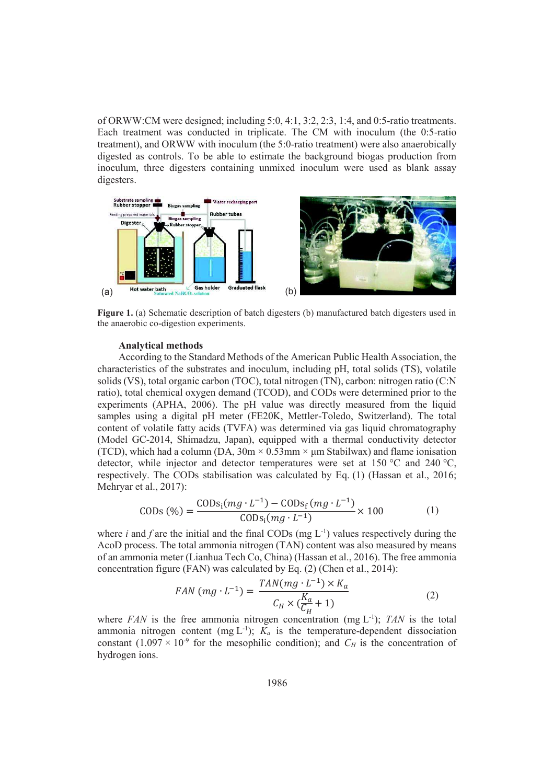of ORWW:CM were designed; including 5:0, 4:1, 3:2, 2:3, 1:4, and 0:5-ratio treatments. Each treatment was conducted in triplicate. The CM with inoculum (the 0:5-ratio treatment), and ORWW with inoculum (the 5:0-ratio treatment) were also anaerobically digested as controls. To be able to estimate the background biogas production from inoculum, three digesters containing unmixed inoculum were used as blank assay digesters.



**Figure 1.** (a) Schematic description of batch digesters (b) manufactured batch digesters used in the anaerobic co-digestion experiments.

### **Analytical methods**

According to the Standard Methods of the American Public Health Association, the characteristics of the substrates and inoculum, including pH, total solids (TS), volatile solids (VS), total organic carbon (TOC), total nitrogen (TN), carbon: nitrogen ratio (C:N ratio), total chemical oxygen demand (TCOD), and CODs were determined prior to the experiments (APHA, 2006). The pH value was directly measured from the liquid samples using a digital pH meter (FE20K, Mettler-Toledo, Switzerland). The total content of volatile fatty acids (TVFA) was determined via gas liquid chromatography (Model GC-2014, Shimadzu, Japan), equipped with a thermal conductivity detector (TCD), which had a column (DA,  $30m \times 0.53mm \times \mu m$  Stabilwax) and flame ionisation detector, while injector and detector temperatures were set at 150 °C and 240 °C, respectively. The CODs stabilisation was calculated by Eq. (1) (Hassan et al., 2016; Mehryar et al., 2017):

CODs (
$$
\%
$$
) =  $\frac{\text{CODs}_i(mg \cdot L^{-1}) - \text{CODs}_f(mg \cdot L^{-1})}{\text{CODs}_i(mg \cdot L^{-1})} \times 100$  (1)

where  $i$  and  $f$  are the initial and the final CODs (mg  $L^{-1}$ ) values respectively during the AcoD process. The total ammonia nitrogen (TAN) content was also measured by means of an ammonia meter (Lianhua Tech Co, China) (Hassan et al., 2016). The free ammonia concentration figure (FAN) was calculated by Eq. (2) (Chen et al., 2014):

$$
FAN\left(mg \cdot L^{-1}\right) = \frac{TAN(mg \cdot L^{-1}) \times K_a}{C_H \times \left(\frac{K_a}{C_H} + 1\right)}\tag{2}
$$

where *FAN* is the free ammonia nitrogen concentration (mg L-1); *TAN* is the total ammonia nitrogen content (mg  $L^{-1}$ );  $K_a$  is the temperature-dependent dissociation constant  $(1.097 \times 10^{-9}$  for the mesophilic condition); and  $C_H$  is the concentration of hydrogen ions.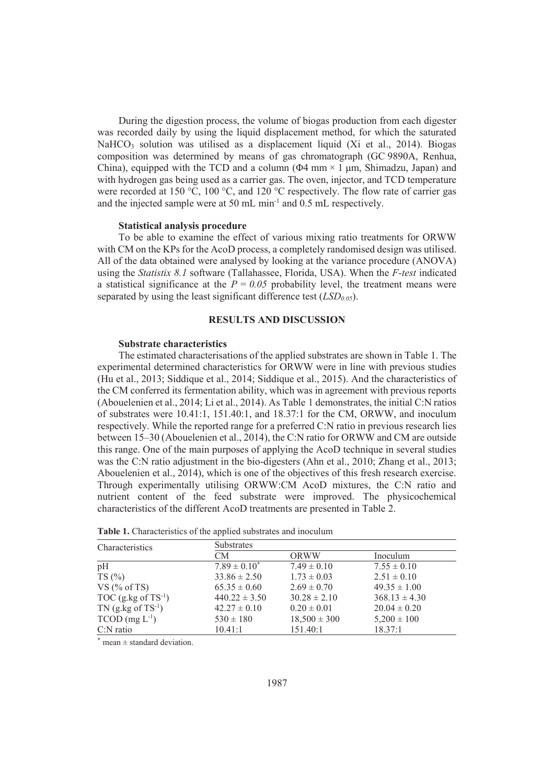During the digestion process, the volume of biogas production from each digester was recorded daily by using the liquid displacement method, for which the saturated NaHCO<sub>3</sub> solution was utilised as a displacement liquid (Xi et al., 2014). Biogas composition was determined by means of gas chromatograph (GC 9890A, Renhua, China), equipped with the TCD and a column ( $\Phi$ 4 mm × 1 µm, Shimadzu, Japan) and with hydrogen gas being used as a carrier gas. The oven, injector, and TCD temperature were recorded at 150 °C, 100 °C, and 120 °C respectively. The flow rate of carrier gas and the injected sample were at 50 mL min<sup>-1</sup> and  $\overline{0.5}$  mL respectively.

### **Statistical analysis procedure**

To be able to examine the effect of various mixing ratio treatments for ORWW with CM on the KPs for the AcoD process, a completely randomised design was utilised. All of the data obtained were analysed by looking at the variance procedure (ANOVA) using the *Statistix 8.1* software (Tallahassee, Florida, USA). When the *F-test* indicated a statistical significance at the  $P = 0.05$  probability level, the treatment means were separated by using the least significant difference test (*LSD0.05*).

### **RESULTS AND DISCUSSION**

# **Substrate characteristics**

The estimated characterisations of the applied substrates are shown in Table 1. The experimental determined characteristics for ORWW were in line with previous studies (Hu et al., 2013; Siddique et al., 2014; Siddique et al., 2015). And the characteristics of the CM conferred its fermentation ability, which was in agreement with previous reports (Abouelenien et al., 2014; Li et al., 2014). As Table 1 demonstrates, the initial C:N ratios of substrates were 10.41:1, 151.40:1, and 18.37:1 for the CM, ORWW, and inoculum respectively. While the reported range for a preferred C:N ratio in previous research lies between 15–30 (Abouelenien et al., 2014), the C:N ratio for ORWW and CM are outside this range. One of the main purposes of applying the AcoD technique in several studies was the C:N ratio adjustment in the bio-digesters (Ahn et al., 2010; Zhang et al., 2013; Abouelenien et al., 2014), which is one of the objectives of this fresh research exercise. Through experimentally utilising ORWW:CM AcoD mixtures, the C:N ratio and nutrient content of the feed substrate were improved. The physicochemical characteristics of the different AcoD treatments are presented in Table 2.

| Characteristics                  | <b>Substrates</b> |                  |                   |  |  |
|----------------------------------|-------------------|------------------|-------------------|--|--|
|                                  | CM                | ORWW             | Inoculum          |  |  |
| pH                               | $7.89 \pm 0.10^*$ | $7.49 \pm 0.10$  | $7.55 \pm 0.10$   |  |  |
| TS(%)                            | $33.86 \pm 2.50$  | $1.73 \pm 0.03$  | $2.51 \pm 0.10$   |  |  |
| VS $(\%$ of TS)                  | $65.35 \pm 0.60$  | $2.69 \pm 0.70$  | $49.35 \pm 1.00$  |  |  |
| TOC $(g.kg \text{ of } TS^{-1})$ | $440.22 \pm 3.50$ | $30.28 \pm 2.10$ | $368.13 \pm 4.30$ |  |  |
| $TN$ (g.kg of $TS^{-1}$ )        | $42.27 \pm 0.10$  | $0.20 \pm 0.01$  | $20.04 \pm 0.20$  |  |  |
| $TCOD$ (mg $L^{-1}$ )            | $530 \pm 180$     | $18,500 \pm 300$ | $5,200 \pm 100$   |  |  |
| $C:N$ ratio                      | 10.41:1           | 151.40:1         | 18.37:1           |  |  |

| <b>Table 1.</b> Characteristics of the applied substrates and inoculum |  |  |
|------------------------------------------------------------------------|--|--|
|------------------------------------------------------------------------|--|--|

 $*$  mean  $\pm$  standard deviation.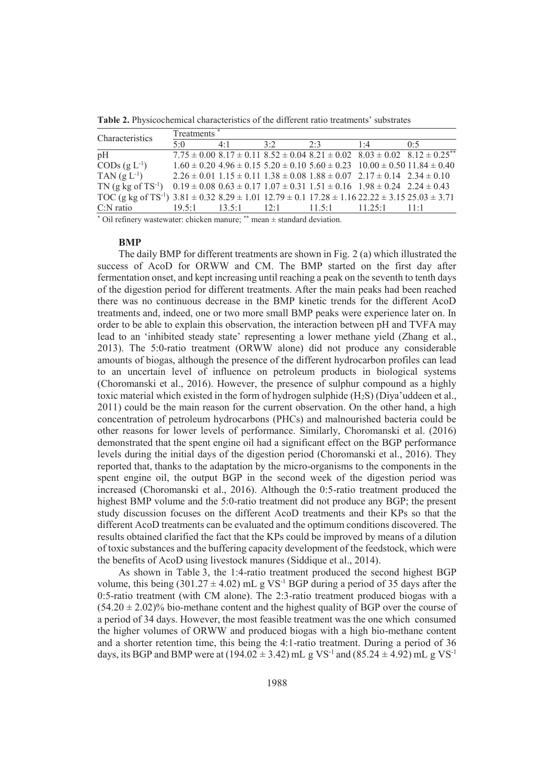| Characteristics                                                                                                                    | Treatments <sup>*</sup> |             |     |     |                                                                                                 |                                                                                                   |
|------------------------------------------------------------------------------------------------------------------------------------|-------------------------|-------------|-----|-----|-------------------------------------------------------------------------------------------------|---------------------------------------------------------------------------------------------------|
|                                                                                                                                    | 5.0                     | $4 \cdot 1$ | 3.2 | 2.3 | 1.4                                                                                             | 0.5                                                                                               |
| pH                                                                                                                                 |                         |             |     |     |                                                                                                 | $7.75 \pm 0.008.17 \pm 0.118.52 \pm 0.048.21 \pm 0.028.03 \pm 0.028.12 \pm 0.25$ <sup>**</sup>    |
| CODs $(g L^{-1})$                                                                                                                  |                         |             |     |     |                                                                                                 | $1.60 \pm 0.20$ $4.96 \pm 0.15$ $5.20 \pm 0.10$ $5.60 \pm 0.23$ $10.00 \pm 0.50$ $11.84 \pm 0.40$ |
| TAN $(g L^{-1})$                                                                                                                   |                         |             |     |     | $2.26 \pm 0.01$ 1.15 $\pm$ 0.11 1.38 $\pm$ 0.08 1.88 $\pm$ 0.07 2.17 $\pm$ 0.14 2.34 $\pm$ 0.10 |                                                                                                   |
| TN (g kg of TS <sup>-1</sup> ) $0.19 \pm 0.08$ $0.63 \pm 0.17$ $1.07 \pm 0.31$ $1.51 \pm 0.16$ $1.98 \pm 0.24$ $2.24 \pm 0.43$     |                         |             |     |     |                                                                                                 |                                                                                                   |
| TOC (g kg of TS <sup>-1</sup> ) $3.81 \pm 0.32$ $8.29 \pm 1.01$ $12.79 \pm 0.1$ $17.28 \pm 1.16$ $22.22 \pm 3.15$ $25.03 \pm 3.71$ |                         |             |     |     |                                                                                                 |                                                                                                   |
| $C:N$ ratio                                                                                                                        |                         |             |     |     | 19.5:1 13.5:1 12:1 11.5:1 11.25:1 11:1                                                          |                                                                                                   |

**Table 2.** Physicochemical characteristics of the different ratio treatments' substrates

4 \* Oil refinery wastewater: chicken manure; \*\* mean ± standard deviation.

#### **BMP**

The daily BMP for different treatments are shown in Fig. 2 (a) which illustrated the success of AcoD for ORWW and CM. The BMP started on the first day after fermentation onset, and kept increasing until reaching a peak on the seventh to tenth days of the digestion period for different treatments. After the main peaks had been reached there was no continuous decrease in the BMP kinetic trends for the different AcoD treatments and, indeed, one or two more small BMP peaks were experience later on. In order to be able to explain this observation, the interaction between pH and TVFA may lead to an 'inhibited steady state' representing a lower methane yield (Zhang et al., 2013). The 5:0-ratio treatment (ORWW alone) did not produce any considerable amounts of biogas, although the presence of the different hydrocarbon profiles can lead to an uncertain level of influence on petroleum products in biological systems (Choromanski et al., 2016). However, the presence of sulphur compound as a highly toxic material which existed in the form of hydrogen sulphide (H2S) (Diya'uddeen et al., 2011) could be the main reason for the current observation. On the other hand, a high concentration of petroleum hydrocarbons (PHCs) and malnourished bacteria could be other reasons for lower levels of performance. Similarly, Choromanski et al. (2016) demonstrated that the spent engine oil had a significant effect on the BGP performance levels during the initial days of the digestion period (Choromanski et al., 2016). They reported that, thanks to the adaptation by the micro-organisms to the components in the spent engine oil, the output BGP in the second week of the digestion period was increased (Choromanski et al., 2016). Although the 0:5-ratio treatment produced the highest BMP volume and the 5:0-ratio treatment did not produce any BGP; the present study discussion focuses on the different AcoD treatments and their KPs so that the different AcoD treatments can be evaluated and the optimum conditions discovered. The results obtained clarified the fact that the KPs could be improved by means of a dilution of toxic substances and the buffering capacity development of the feedstock, which were the benefits of AcoD using livestock manures (Siddique et al., 2014).

As shown in Table 3, the 1:4-ratio treatment produced the second highest BGP volume, this being  $(301.27 \pm 4.02)$  mL g VS<sup>-1</sup> BGP during a period of 35 days after the 0:5-ratio treatment (with CM alone). The 2:3-ratio treatment produced biogas with a  $(54.20 \pm 2.02)\%$  bio-methane content and the highest quality of BGP over the course of a period of 34 days. However, the most feasible treatment was the one which consumed the higher volumes of ORWW and produced biogas with a high bio-methane content and a shorter retention time, this being the 4:1-ratio treatment. During a period of 36 days, its BGP and BMP were at (194.02  $\pm$  3.42) mL g VS<sup>-1</sup> and (85.24  $\pm$  4.92) mL g VS<sup>-1</sup>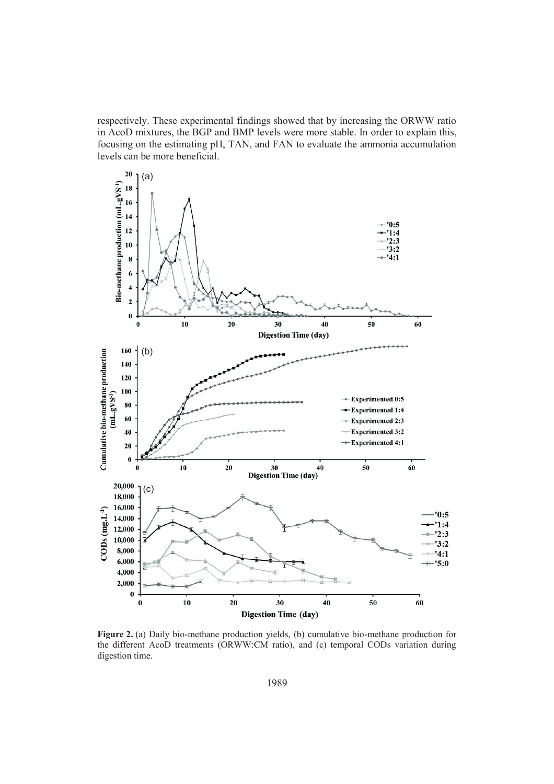respectively. These experimental findings showed that by increasing the ORWW ratio in AcoD mixtures, the BGP and BMP levels were more stable. In order to explain this, focusing on the estimating pH, TAN, and FAN to evaluate the ammonia accumulation levels can be more beneficial.



**Figure 2.** (a) Daily bio-methane production yields, (b) cumulative bio-methane production for the different AcoD treatments (ORWW:CM ratio), and (c) temporal CODs variation during digestion time.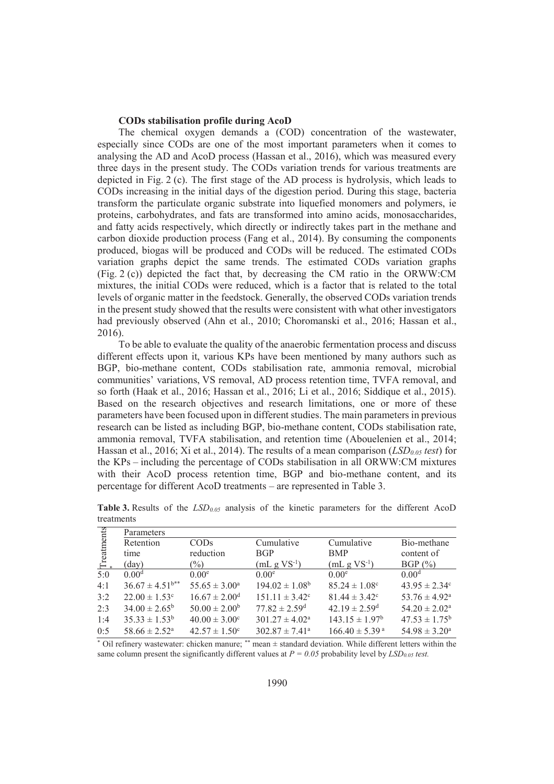### **CODs stabilisation profile during AcoD**

The chemical oxygen demands a (COD) concentration of the wastewater, especially since CODs are one of the most important parameters when it comes to analysing the AD and AcoD process (Hassan et al., 2016), which was measured every three days in the present study. The CODs variation trends for various treatments are depicted in Fig. 2 (c). The first stage of the AD process is hydrolysis, which leads to CODs increasing in the initial days of the digestion period. During this stage, bacteria transform the particulate organic substrate into liquefied monomers and polymers, ie proteins, carbohydrates, and fats are transformed into amino acids, monosaccharides, and fatty acids respectively, which directly or indirectly takes part in the methane and carbon dioxide production process (Fang et al., 2014). By consuming the components produced, biogas will be produced and CODs will be reduced. The estimated CODs variation graphs depict the same trends. The estimated CODs variation graphs (Fig. 2 (c)) depicted the fact that, by decreasing the CM ratio in the ORWW:CM mixtures, the initial CODs were reduced, which is a factor that is related to the total levels of organic matter in the feedstock. Generally, the observed CODs variation trends in the present study showed that the results were consistent with what other investigators had previously observed (Ahn et al., 2010; Choromanski et al., 2016; Hassan et al., 2016).

To be able to evaluate the quality of the anaerobic fermentation process and discuss different effects upon it, various KPs have been mentioned by many authors such as BGP, bio-methane content, CODs stabilisation rate, ammonia removal, microbial communities' variations, VS removal, AD process retention time, TVFA removal, and so forth (Haak et al., 2016; Hassan et al., 2016; Li et al., 2016; Siddique et al., 2015). Based on the research objectives and research limitations, one or more of these parameters have been focused upon in different studies. The main parameters in previous research can be listed as including BGP, bio-methane content, CODs stabilisation rate, ammonia removal, TVFA stabilisation, and retention time (Abouelenien et al., 2014; Hassan et al., 2016; Xi et al., 2014). The results of a mean comparison (*LSD0.05 test*) for the KPs – including the percentage of CODs stabilisation in all ORWW:CM mixtures with their AcoD process retention time, BGP and bio-methane content, and its percentage for different AcoD treatments – are represented in Table 3.

| Treatments | Parameters                      |                               |                               |                                |                               |  |  |
|------------|---------------------------------|-------------------------------|-------------------------------|--------------------------------|-------------------------------|--|--|
|            | Retention                       | CODs                          | Cumulative                    | Cumulative                     | Bio-methane                   |  |  |
|            | time                            | reduction                     | <b>BGP</b>                    | <b>BMP</b>                     | content of                    |  |  |
|            | (day)                           | $\frac{1}{2}$                 | $(mL g VS^{-1})$              | $(mL g VS^{-1})$               | BGP(%)                        |  |  |
| 5:0        | 0.00 <sup>d</sup>               | 0.00 <sup>e</sup>             | 0.00 <sup>e</sup>             | 0.00 <sup>e</sup>              | 0.00 <sup>d</sup>             |  |  |
| 4:1        | $36.67 \pm 4.51$ <sup>b**</sup> | $55.65 \pm 3.00^a$            | $194.02 \pm 1.08^b$           | $85.24 \pm 1.08$ <sup>c</sup>  | $43.95 \pm 2.34^{\circ}$      |  |  |
| 3:2        | $22.00 \pm 1.53$ <sup>c</sup>   | $16.67 \pm 2.00$ <sup>d</sup> | $151.11 \pm 3.42^c$           | $81.44 \pm 3.42^{\circ}$       | 53.76 $\pm$ 4.92 <sup>a</sup> |  |  |
| 2:3        | $34.00 \pm 2.65^{\rm b}$        | $50.00 \pm 2.00^b$            | $77.82 \pm 2.59$ <sup>d</sup> | $42.19 \pm 2.59$ <sup>d</sup>  | $54.20 \pm 2.02^a$            |  |  |
| 1:4        | $35.33 \pm 1.53^b$              | $40.00 \pm 3.00^{\circ}$      | $301.27 \pm 4.02^{\text{a}}$  | $143.15 \pm 1.97^b$            | $47.53 \pm 1.75^{\rm b}$      |  |  |
| 0:5        | $58.66 \pm 2.52^{\text{a}}$     | $42.57 \pm 1.50^{\circ}$      | $302.87 \pm 7.41^{\circ}$     | $166.40 \pm 5.39$ <sup>a</sup> | $54.98 \pm 3.20^a$            |  |  |

**Table 3.** Results of the *LSD0.05* analysis of the kinetic parameters for the different AcoD treatments

\* Oil refinery wastewater: chicken manure; \*\* mean ± standard deviation. While different letters within the same column present the significantly different values at *P = 0.05* probability level by *LSD0.05 test.*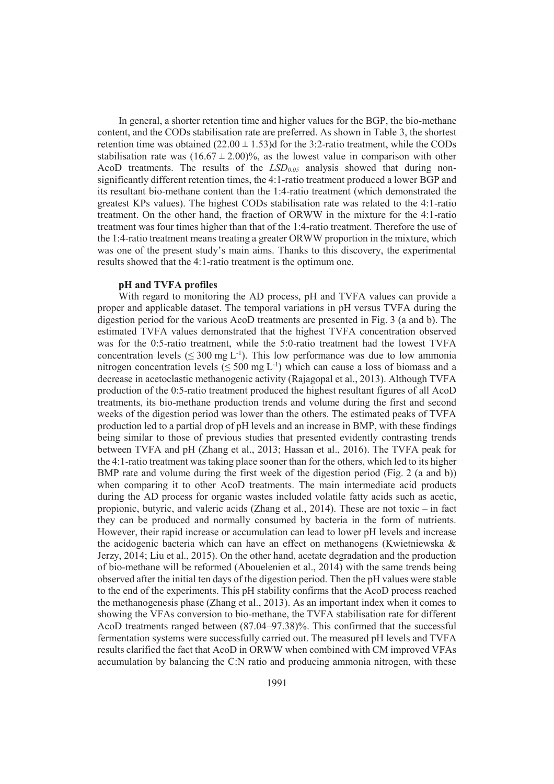In general, a shorter retention time and higher values for the BGP, the bio-methane content, and the CODs stabilisation rate are preferred. As shown in Table 3, the shortest retention time was obtained  $(22.00 \pm 1.53)$ d for the 3:2-ratio treatment, while the CODs stabilisation rate was  $(16.67 \pm 2.00)\%$ , as the lowest value in comparison with other AcoD treatments. The results of the  $LSD<sub>0.05</sub>$  analysis showed that during nonsignificantly different retention times, the 4:1-ratio treatment produced a lower BGP and its resultant bio-methane content than the 1:4-ratio treatment (which demonstrated the greatest KPs values). The highest CODs stabilisation rate was related to the 4:1-ratio treatment. On the other hand, the fraction of ORWW in the mixture for the 4:1-ratio treatment was four times higher than that of the 1:4-ratio treatment. Therefore the use of the 1:4-ratio treatment means treating a greater ORWW proportion in the mixture, which was one of the present study's main aims. Thanks to this discovery, the experimental results showed that the 4:1-ratio treatment is the optimum one.

#### **pH and TVFA profiles**

With regard to monitoring the AD process, pH and TVFA values can provide a proper and applicable dataset. The temporal variations in pH versus TVFA during the digestion period for the various AcoD treatments are presented in Fig. 3 (a and b). The estimated TVFA values demonstrated that the highest TVFA concentration observed was for the 0:5-ratio treatment, while the 5:0-ratio treatment had the lowest TVFA concentration levels ( $\leq 300$  mg L<sup>-1</sup>). This low performance was due to low ammonia nitrogen concentration levels ( $\leq 500$  mg L<sup>-1</sup>) which can cause a loss of biomass and a decrease in acetoclastic methanogenic activity (Rajagopal et al., 2013). Although TVFA production of the 0:5-ratio treatment produced the highest resultant figures of all AcoD treatments, its bio-methane production trends and volume during the first and second weeks of the digestion period was lower than the others. The estimated peaks of TVFA production led to a partial drop of pH levels and an increase in BMP, with these findings being similar to those of previous studies that presented evidently contrasting trends between TVFA and pH (Zhang et al., 2013; Hassan et al., 2016). The TVFA peak for the 4:1-ratio treatment was taking place sooner than for the others, which led to its higher BMP rate and volume during the first week of the digestion period (Fig. 2 (a and b)) when comparing it to other AcoD treatments. The main intermediate acid products during the AD process for organic wastes included volatile fatty acids such as acetic, propionic, butyric, and valeric acids (Zhang et al., 2014). These are not toxic – in fact they can be produced and normally consumed by bacteria in the form of nutrients. However, their rapid increase or accumulation can lead to lower pH levels and increase the acidogenic bacteria which can have an effect on methanogens (Kwietniewska & Jerzy, 2014; Liu et al., 2015). On the other hand, acetate degradation and the production of bio-methane will be reformed (Abouelenien et al., 2014) with the same trends being observed after the initial ten days of the digestion period. Then the pH values were stable to the end of the experiments. This pH stability confirms that the AcoD process reached the methanogenesis phase (Zhang et al., 2013). As an important index when it comes to showing the VFAs conversion to bio-methane, the TVFA stabilisation rate for different AcoD treatments ranged between (87.04–97.38)%. This confirmed that the successful fermentation systems were successfully carried out. The measured pH levels and TVFA results clarified the fact that AcoD in ORWW when combined with CM improved VFAs accumulation by balancing the C:N ratio and producing ammonia nitrogen, with these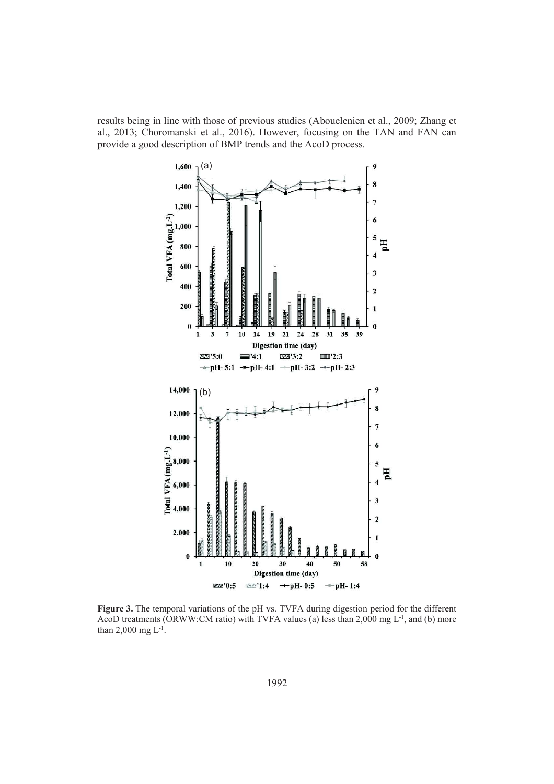results being in line with those of previous studies (Abouelenien et al., 2009; Zhang et al., 2013; Choromanski et al., 2016). However, focusing on the TAN and FAN can provide a good description of BMP trends and the AcoD process.



**Figure 3.** The temporal variations of the pH vs. TVFA during digestion period for the different AcoD treatments (ORWW:CM ratio) with TVFA values (a) less than 2,000 mg  $L^{-1}$ , and (b) more than 2,000 mg  $L^{-1}$ .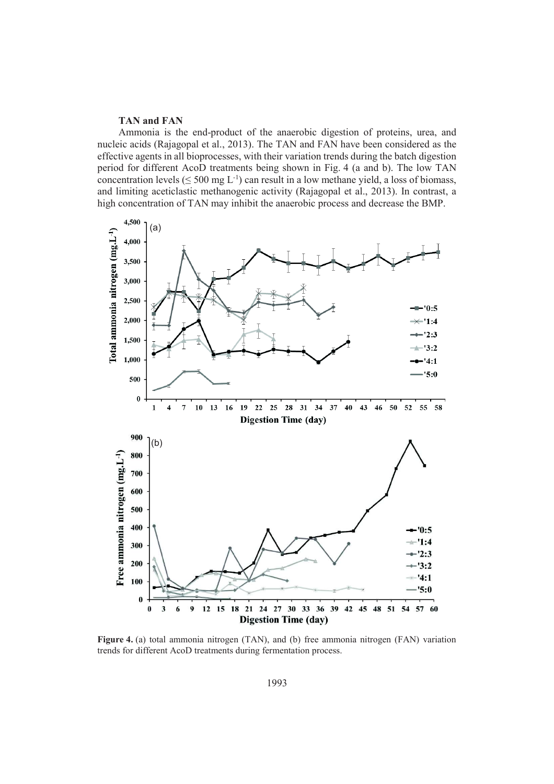### **TAN and FAN**

Ammonia is the end-product of the anaerobic digestion of proteins, urea, and nucleic acids (Rajagopal et al., 2013). The TAN and FAN have been considered as the effective agents in all bioprocesses, with their variation trends during the batch digestion period for different AcoD treatments being shown in Fig. 4 (a and b). The low TAN concentration levels ( $\leq 500$  mg L<sup>-1</sup>) can result in a low methane yield, a loss of biomass, and limiting aceticlastic methanogenic activity (Rajagopal et al., 2013). In contrast, a high concentration of TAN may inhibit the anaerobic process and decrease the BMP.



**Figure 4.** (a) total ammonia nitrogen (TAN), and (b) free ammonia nitrogen (FAN) variation trends for different AcoD treatments during fermentation process.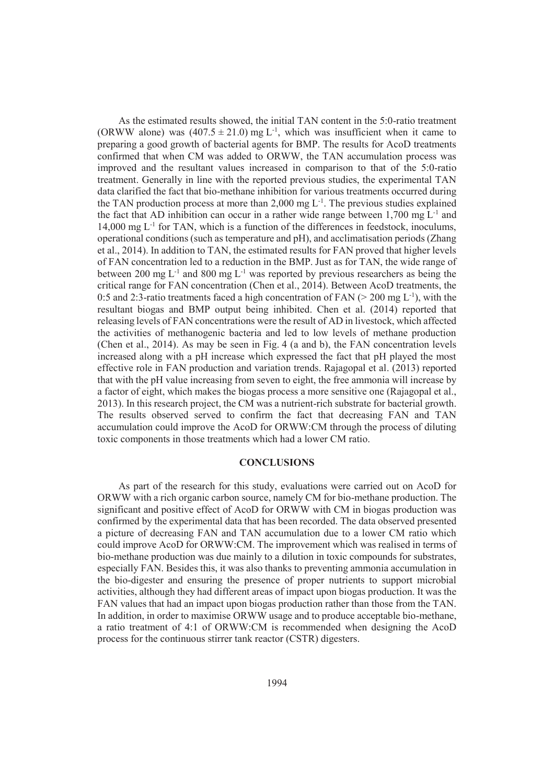As the estimated results showed, the initial TAN content in the 5:0-ratio treatment (ORWW alone) was  $(407.5 \pm 21.0)$  mg L<sup>-1</sup>, which was insufficient when it came to preparing a good growth of bacterial agents for BMP. The results for AcoD treatments confirmed that when CM was added to ORWW, the TAN accumulation process was improved and the resultant values increased in comparison to that of the 5:0-ratio treatment. Generally in line with the reported previous studies, the experimental TAN data clarified the fact that bio-methane inhibition for various treatments occurred during the TAN production process at more than 2,000 mg  $L^{-1}$ . The previous studies explained the fact that AD inhibition can occur in a rather wide range between 1,700 mg  $L^{-1}$  and  $14,000$  mg  $L^{-1}$  for TAN, which is a function of the differences in feedstock, inoculums, operational conditions (such as temperature and pH), and acclimatisation periods (Zhang et al., 2014). In addition to TAN, the estimated results for FAN proved that higher levels of FAN concentration led to a reduction in the BMP. Just as for TAN, the wide range of between 200 mg  $L^{-1}$  and 800 mg  $L^{-1}$  was reported by previous researchers as being the critical range for FAN concentration (Chen et al., 2014). Between AcoD treatments, the 0:5 and 2:3-ratio treatments faced a high concentration of FAN ( $>$  200 mg L<sup>-1</sup>), with the resultant biogas and BMP output being inhibited. Chen et al. (2014) reported that releasing levels of FAN concentrations were the result of AD in livestock, which affected the activities of methanogenic bacteria and led to low levels of methane production (Chen et al., 2014). As may be seen in Fig. 4 (a and b), the FAN concentration levels increased along with a pH increase which expressed the fact that pH played the most effective role in FAN production and variation trends. Rajagopal et al. (2013) reported that with the pH value increasing from seven to eight, the free ammonia will increase by a factor of eight, which makes the biogas process a more sensitive one (Rajagopal et al., 2013). In this research project, the CM was a nutrient-rich substrate for bacterial growth. The results observed served to confirm the fact that decreasing FAN and TAN accumulation could improve the AcoD for ORWW:CM through the process of diluting toxic components in those treatments which had a lower CM ratio.

### **CONCLUSIONS**

As part of the research for this study, evaluations were carried out on AcoD for ORWW with a rich organic carbon source, namely CM for bio-methane production. The significant and positive effect of AcoD for ORWW with CM in biogas production was confirmed by the experimental data that has been recorded. The data observed presented a picture of decreasing FAN and TAN accumulation due to a lower CM ratio which could improve AcoD for ORWW:CM. The improvement which was realised in terms of bio-methane production was due mainly to a dilution in toxic compounds for substrates, especially FAN. Besides this, it was also thanks to preventing ammonia accumulation in the bio-digester and ensuring the presence of proper nutrients to support microbial activities, although they had different areas of impact upon biogas production. It was the FAN values that had an impact upon biogas production rather than those from the TAN. In addition, in order to maximise ORWW usage and to produce acceptable bio-methane, a ratio treatment of 4:1 of ORWW:CM is recommended when designing the AcoD process for the continuous stirrer tank reactor (CSTR) digesters.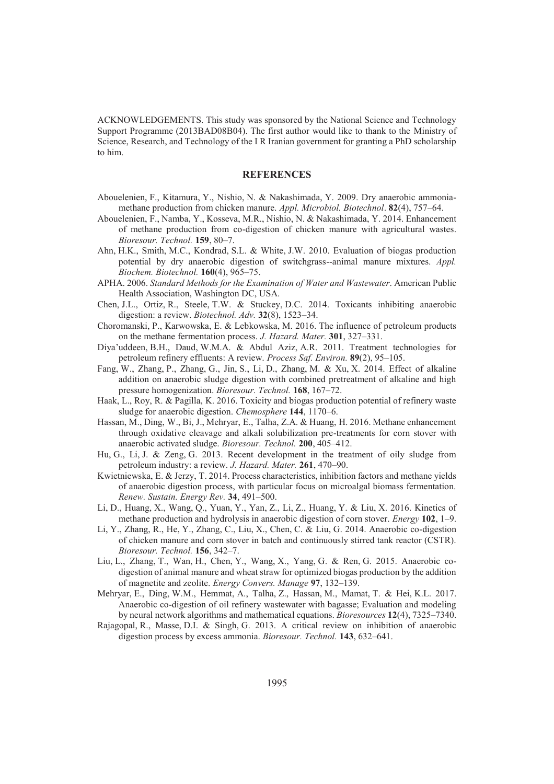ACKNOWLEDGEMENTS. This study was sponsored by the National Science and Technology Support Programme (2013BAD08B04). The first author would like to thank to the Ministry of Science, Research, and Technology of the I R Iranian government for granting a PhD scholarship to him.

#### **REFERENCES**

- Abouelenien, F., Kitamura, Y., Nishio, N. & Nakashimada, Y. 2009. Dry anaerobic ammoniamethane production from chicken manure. *Appl. Microbiol. Biotechnol*. **82**(4), 757–64.
- Abouelenien, F., Namba, Y., Kosseva, M.R., Nishio, N. & Nakashimada, Y. 2014. Enhancement of methane production from co-digestion of chicken manure with agricultural wastes. *Bioresour. Technol.* **159**, 80–7.
- Ahn, H.K., Smith, M.C., Kondrad, S.L. & White, J.W. 2010. Evaluation of biogas production potential by dry anaerobic digestion of switchgrass--animal manure mixtures. *Appl. Biochem. Biotechnol.* **160**(4), 965–75.
- APHA. 2006. *Standard Methods for the Examination of Water and Wastewater*. American Public Health Association, Washington DC, USA.
- Chen, J.L., Ortiz, R., Steele, T.W. & Stuckey, D.C. 2014. Toxicants inhibiting anaerobic digestion: a review. *Biotechnol. Adv.* **32**(8), 1523–34.
- Choromanski, P., Karwowska, E. & Lebkowska, M. 2016. The influence of petroleum products on the methane fermentation process. *J. Hazard. Mater.* **301**, 327–331.
- Diya'uddeen, B.H., Daud, W.M.A. & Abdul Aziz, A.R. 2011. Treatment technologies for petroleum refinery effluents: A review. *Process Saf. Environ.* **89**(2), 95–105.
- Fang, W., Zhang, P., Zhang, G., Jin, S., Li, D., Zhang, M. & Xu, X. 2014. Effect of alkaline addition on anaerobic sludge digestion with combined pretreatment of alkaline and high pressure homogenization. *Bioresour. Technol.* **168**, 167–72.
- Haak, L., Roy, R. & Pagilla, K. 2016. Toxicity and biogas production potential of refinery waste sludge for anaerobic digestion. *Chemosphere* **144**, 1170–6.
- Hassan, M., Ding, W., Bi, J., Mehryar, E., Talha, Z.A. & Huang, H. 2016. Methane enhancement through oxidative cleavage and alkali solubilization pre-treatments for corn stover with anaerobic activated sludge. *Bioresour. Technol.* **200**, 405–412.
- Hu, G., Li, J. & Zeng, G. 2013. Recent development in the treatment of oily sludge from petroleum industry: a review. *J. Hazard. Mater.* **261**, 470–90.
- Kwietniewska, E. & Jerzy, T. 2014. Process characteristics, inhibition factors and methane yields of anaerobic digestion process, with particular focus on microalgal biomass fermentation. *Renew. Sustain. Energy Rev.* **34**, 491–500.
- Li, D., Huang, X., Wang, Q., Yuan, Y., Yan, Z., Li, Z., Huang, Y. & Liu, X. 2016. Kinetics of methane production and hydrolysis in anaerobic digestion of corn stover. *Energy* **102**, 1–9.
- Li, Y., Zhang, R., He, Y., Zhang, C., Liu, X., Chen, C. & Liu, G. 2014. Anaerobic co-digestion of chicken manure and corn stover in batch and continuously stirred tank reactor (CSTR). *Bioresour. Technol.* **156**, 342–7.
- Liu, L., Zhang, T., Wan, H., Chen, Y., Wang, X., Yang, G. & Ren, G. 2015. Anaerobic codigestion of animal manure and wheat straw for optimized biogas production by the addition of magnetite and zeolite. *Energy Convers. Manage* **97**, 132–139.
- Mehryar, E., Ding, W.M., Hemmat, A., Talha, Z., Hassan, M., Mamat, T. & Hei, K.L. 2017. Anaerobic co-digestion of oil refinery wastewater with bagasse; Evaluation and modeling by neural network algorithms and mathematical equations. *Bioresources* **12**(4), 7325–7340.
- Rajagopal, R., Masse, D.I. & Singh, G. 2013. A critical review on inhibition of anaerobic digestion process by excess ammonia. *Bioresour. Technol.* **143**, 632–641.